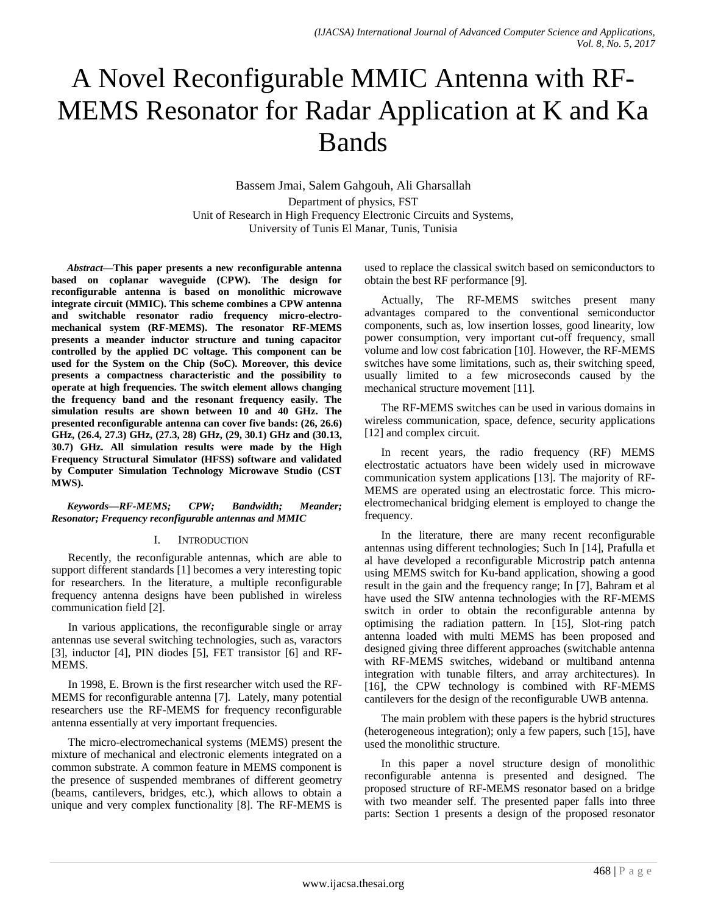# A Novel Reconfigurable MMIC Antenna with RF-MEMS Resonator for Radar Application at K and Ka Bands

Bassem Jmai, Salem Gahgouh, Ali Gharsallah Department of physics, FST Unit of Research in High Frequency Electronic Circuits and Systems, University of Tunis El Manar, Tunis, Tunisia

*Abstract***—This paper presents a new reconfigurable antenna based on coplanar waveguide (CPW). The design for reconfigurable antenna is based on monolithic microwave integrate circuit (MMIC). This scheme combines a CPW antenna and switchable resonator radio frequency micro-electromechanical system (RF-MEMS). The resonator RF-MEMS presents a meander inductor structure and tuning capacitor controlled by the applied DC voltage. This component can be used for the System on the Chip (SoC). Moreover, this device presents a compactness characteristic and the possibility to operate at high frequencies. The switch element allows changing the frequency band and the resonant frequency easily. The simulation results are shown between 10 and 40 GHz. The presented reconfigurable antenna can cover five bands: (26, 26.6) GHz, (26.4, 27.3) GHz, (27.3, 28) GHz, (29, 30.1) GHz and (30.13, 30.7) GHz. All simulation results were made by the High Frequency Structural Simulator (HFSS) software and validated by Computer Simulation Technology Microwave Studio (CST MWS).**

## *Keywords—RF-MEMS; CPW; Bandwidth; Meander; Resonator; Frequency reconfigurable antennas and MMIC*

## I. INTRODUCTION

Recently, the reconfigurable antennas, which are able to support different standards [1] becomes a very interesting topic for researchers. In the literature, a multiple reconfigurable frequency antenna designs have been published in wireless communication field [2].

In various applications, the reconfigurable single or array antennas use several switching technologies, such as, varactors [3], inductor [4], PIN diodes [5], FET transistor [6] and RF-MEMS.

In 1998, E. Brown is the first researcher witch used the RF-MEMS for reconfigurable antenna [7]. Lately, many potential researchers use the RF-MEMS for frequency reconfigurable antenna essentially at very important frequencies.

The micro-electromechanical systems (MEMS) present the mixture of mechanical and electronic elements integrated on a common substrate. A common feature in MEMS component is the presence of suspended membranes of different geometry (beams, cantilevers, bridges, etc.), which allows to obtain a unique and very complex functionality [8]. The RF-MEMS is used to replace the classical switch based on semiconductors to obtain the best RF performance [9].

Actually, The RF-MEMS switches present many advantages compared to the conventional semiconductor components, such as, low insertion losses, good linearity, low power consumption, very important cut-off frequency, small volume and low cost fabrication [10]. However, the RF-MEMS switches have some limitations, such as, their switching speed, usually limited to a few microseconds caused by the mechanical structure movement [11].

The RF-MEMS switches can be used in various domains in wireless communication, space, defence, security applications [12] and complex circuit.

In recent years, the radio frequency (RF) MEMS electrostatic actuators have been widely used in microwave communication system applications [13]. The majority of RF-MEMS are operated using an electrostatic force. This microelectromechanical bridging element is employed to change the frequency.

In the literature, there are many recent reconfigurable antennas using different technologies; Such In [14], Prafulla et al have developed a reconfigurable Microstrip patch antenna using MEMS switch for Ku-band application, showing a good result in the gain and the frequency range; In [7], Bahram et al have used the SIW antenna technologies with the RF-MEMS switch in order to obtain the reconfigurable antenna by optimising the radiation pattern. In [15], Slot-ring patch antenna loaded with multi MEMS has been proposed and designed giving three different approaches (switchable antenna with RF-MEMS switches, wideband or multiband antenna integration with tunable filters, and array architectures). In [16], the CPW technology is combined with RF-MEMS cantilevers for the design of the reconfigurable UWB antenna.

The main problem with these papers is the hybrid structures (heterogeneous integration); only a few papers, such [15], have used the monolithic structure.

In this paper a novel structure design of monolithic reconfigurable antenna is presented and designed. The proposed structure of RF-MEMS resonator based on a bridge with two meander self. The presented paper falls into three parts: Section 1 presents a design of the proposed resonator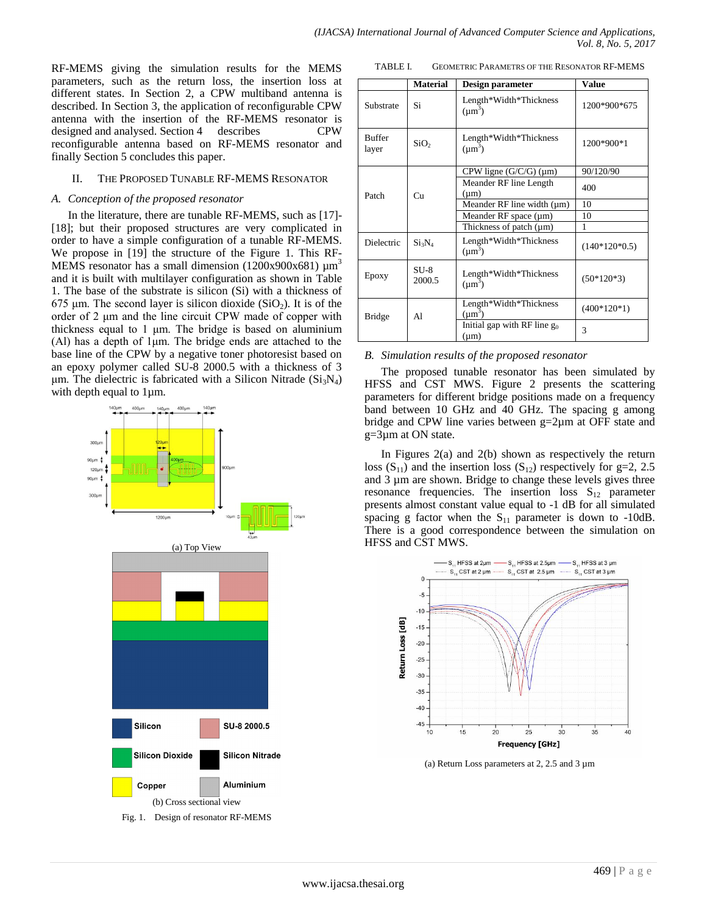RF-MEMS giving the simulation results for the MEMS parameters, such as the return loss, the insertion loss at different states. In Section 2, a CPW multiband antenna is described. In Section 3, the application of reconfigurable CPW antenna with the insertion of the RF-MEMS resonator is designed and analysed. Section 4 describes CPW reconfigurable antenna based on RF-MEMS resonator and finally Section 5 concludes this paper.

#### II. THE PROPOSED TUNABLE RF-MEMS RESONATOR

#### *A. Conception of the proposed resonator*

In the literature, there are tunable RF-MEMS, such as [17]- [18]; but their proposed structures are very complicated in order to have a simple configuration of a tunable RF-MEMS. We propose in [19] the structure of the Figure 1. This RF-MEMS resonator has a small dimension (1200x900x681)  $\mu$ m<sup>3</sup> and it is built with multilayer configuration as shown in Table 1. The base of the substrate is silicon (Si) with a thickness of 675 μm. The second layer is silicon dioxide  $(SiO<sub>2</sub>)$ . It is of the order of 2 μm and the line circuit CPW made of copper with thickness equal to 1 μm. The bridge is based on aluminium (Al) has a depth of 1μm. The bridge ends are attached to the base line of the CPW by a negative toner photoresist based on an epoxy polymer called SU-8 2000.5 with a thickness of 3 μm. The dielectric is fabricated with a Silicon Nitrade  $(Si<sub>3</sub>N<sub>4</sub>)$ with depth equal to 1  $\mu$ m.



TABLE I. GEOMETRIC PARAMETRS OF THE RESONATOR RF-MEMS

|                        | <b>Material</b>  | Design parameter                            | <b>Value</b>    |  |
|------------------------|------------------|---------------------------------------------|-----------------|--|
| Substrate              | Si               | Length*Width*Thickness<br>$(\mu m^3)$       | 1200*900*675    |  |
| <b>Buffer</b><br>layer | SiO <sub>2</sub> | Length*Width*Thickness<br>$(\mu m^3)$       | 1200*900*1      |  |
|                        |                  | CPW ligne $(G/C/G)$ (µm)                    | 90/120/90       |  |
| Patch                  | Cu               | Meander RF line Length<br>$(\mu m)$         | 400             |  |
|                        |                  | Meander RF line width $(\mu m)$             | 10              |  |
|                        |                  | Meander RF space (µm)                       | 10              |  |
|                        |                  | Thickness of patch (µm)                     | 1               |  |
| Dielectric             | $Si_3N_4$        | Length*Width*Thickness<br>$(\mu m^3)$       | $(140*120*0.5)$ |  |
| Epoxy                  | $SU-8$<br>2000.5 | Length*Width*Thickness<br>$(\mu m^3)$       | $(50*120*3)$    |  |
| <b>Bridge</b>          | A1               | Length*Width*Thickness<br>$(\mu m^3)$       | $(400*120*1)$   |  |
|                        |                  | Initial gap with RF line $g_0$<br>$(\mu m)$ | $\mathcal{R}$   |  |

#### *B. Simulation results of the proposed resonator*

The proposed tunable resonator has been simulated by HFSS and CST MWS. Figure 2 presents the scattering parameters for different bridge positions made on a frequency band between 10 GHz and 40 GHz. The spacing g among bridge and CPW line varies between g=2µm at OFF state and g=3µm at ON state.

In Figures 2(a) and 2(b) shown as respectively the return loss  $(S_{11})$  and the insertion loss  $(S_{12})$  respectively for g=2, 2.5 and 3 µm are shown. Bridge to change these levels gives three resonance frequencies. The insertion loss  $S_{12}$  parameter presents almost constant value equal to -1 dB for all simulated spacing g factor when the  $S_{11}$  parameter is down to -10dB. There is a good correspondence between the simulation on HFSS and CST MWS.



(a) Return Loss parameters at 2, 2.5 and 3 µm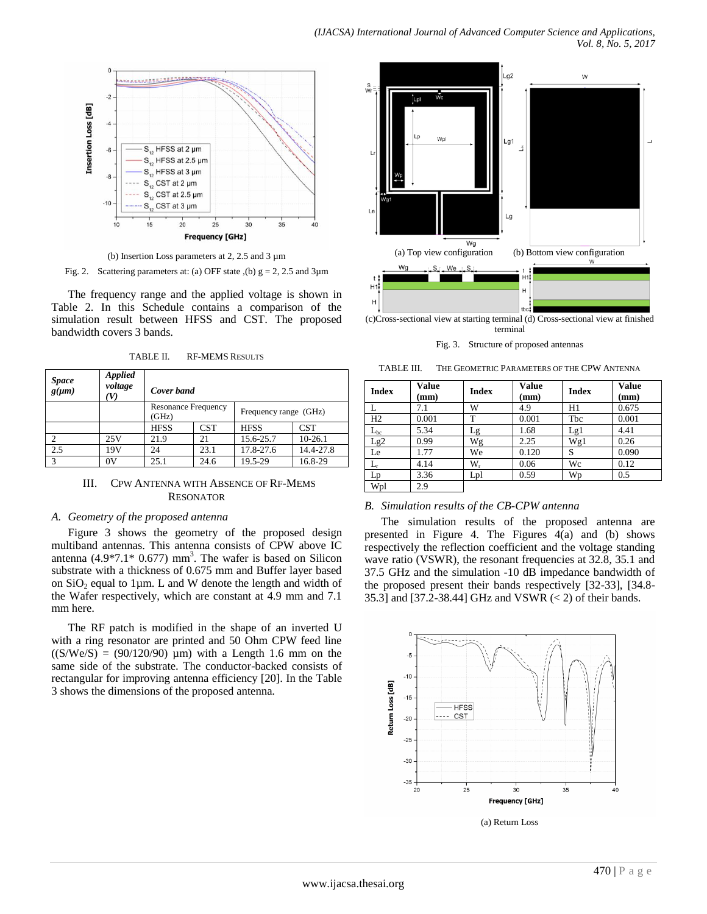

(b) Insertion Loss parameters at 2, 2.5 and 3 µm

Fig. 2. Scattering parameters at: (a) OFF state ,(b)  $g = 2$ , 2.5 and 3 $\mu$ m

The frequency range and the applied voltage is shown in Table 2. In this Schedule contains a comparison of the simulation result between HFSS and CST. The proposed bandwidth covers 3 bands.

| <b>Space</b><br>$g(\mu m)$ | <b>Applied</b><br>voltage<br>V) | Cover band                          |            |                       |            |
|----------------------------|---------------------------------|-------------------------------------|------------|-----------------------|------------|
|                            |                                 | <b>Resonance Frequency</b><br>(GHz) |            | Frequency range (GHz) |            |
|                            |                                 | <b>HFSS</b>                         | <b>CST</b> | <b>HFSS</b>           | <b>CST</b> |
|                            | 25V                             | 21.9                                | 21         | 15.6-25.7             | $10-26.1$  |
| 2.5                        | 19V                             | 24                                  | 23.1       | 17.8-27.6             | 14.4-27.8  |
| 3                          | 0V                              | 25.1                                | 24.6       | 19.5-29               | 16.8-29    |

TABLE II. RF-MEMS RESULTS

#### III. CPW ANTENNA WITH ABSENCE OF RF-MEMS RESONATOR

#### *A. Geometry of the proposed antenna*

Figure 3 shows the geometry of the proposed design multiband antennas. This antenna consists of CPW above IC antenna  $(4.9*7.1*0.677)$  mm<sup>3</sup>. The wafer is based on Silicon substrate with a thickness of 0.675 mm and Buffer layer based on  $SiO<sub>2</sub>$  equal to 1 $\mu$ m. L and W denote the length and width of the Wafer respectively, which are constant at 4.9 mm and 7.1 mm here.

The RF patch is modified in the shape of an inverted U with a ring resonator are printed and 50 Ohm CPW feed line  $((S/We/S) = (90/120/90) \mu m)$  with a Length 1.6 mm on the same side of the substrate. The conductor-backed consists of rectangular for improving antenna efficiency [20]. In the Table 3 shows the dimensions of the proposed antenna.



Fig. 3. Structure of proposed antennas

| TABLE III. | THE GEOMETRIC PARAMETERS OF THE CPW ANTENNA |  |
|------------|---------------------------------------------|--|
|            |                                             |  |

| <b>Index</b> | <b>Value</b><br>(mm) | <b>Index</b> | <b>Value</b><br>(mm) | <b>Index</b> | <b>Value</b><br>$(\mathbf{mm})$ |
|--------------|----------------------|--------------|----------------------|--------------|---------------------------------|
| L            | 7.1                  | W            | 4.9                  | H1           | 0.675                           |
| H2           | 0.001                | T            | 0.001                | Tbc          | 0.001                           |
| $\rm L_{bc}$ | 5.34                 | Lg           | 1.68                 | Lg1          | 4.41                            |
| Lg2          | 0.99                 | Wg           | 2.25                 | Wg1          | 0.26                            |
| Le           | 1.77                 | We           | 0.120                | S            | 0.090                           |
| Lг           | 4.14                 | $W_{r}$      | 0.06                 | Wc           | 0.12                            |
| Lp           | 3.36                 | Lpl          | 0.59                 | Wp           | 0.5                             |
| Wpl          | 2.9                  |              |                      |              |                                 |

## *B. Simulation results of the CB-CPW antenna*

The simulation results of the proposed antenna are presented in Figure 4. The Figures  $4(a)$  and (b) shows respectively the reflection coefficient and the voltage standing wave ratio (VSWR), the resonant frequencies at 32.8, 35.1 and 37.5 GHz and the simulation -10 dB impedance bandwidth of the proposed present their bands respectively [32-33], [34.8- 35.3] and [37.2-38.44] GHz and VSWR (< 2) of their bands.



(a) Return Loss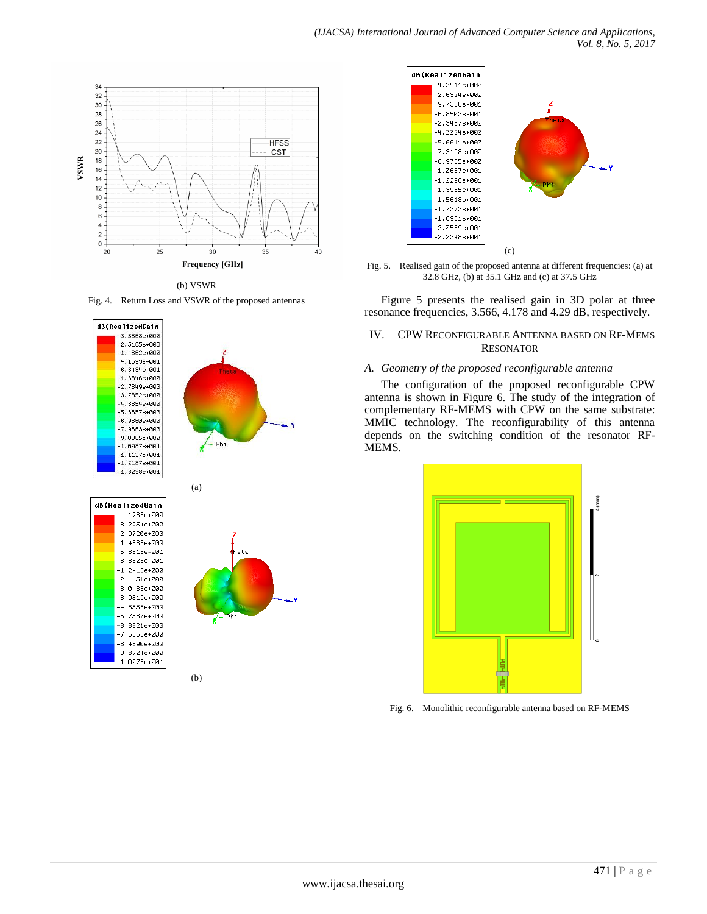

(b) VSWR

Fig. 4. Return Loss and VSWR of the proposed antennas







Fig. 5. Realised gain of the proposed antenna at different frequencies: (a) at 32.8 GHz, (b) at 35.1 GHz and (c) at 37.5 GHz

Figure 5 presents the realised gain in 3D polar at three resonance frequencies, 3.566, 4.178 and 4.29 dB, respectively.

## IV. CPW RECONFIGURABLE ANTENNA BASED ON RF-MEMS RESONATOR

### *A. Geometry of the proposed reconfigurable antenna*

The configuration of the proposed reconfigurable CPW antenna is shown in Figure 6. The study of the integration of complementary RF-MEMS with CPW on the same substrate: MMIC technology. The reconfigurability of this antenna depends on the switching condition of the resonator RF-MEMS.



Fig. 6. Monolithic reconfigurable antenna based on RF-MEMS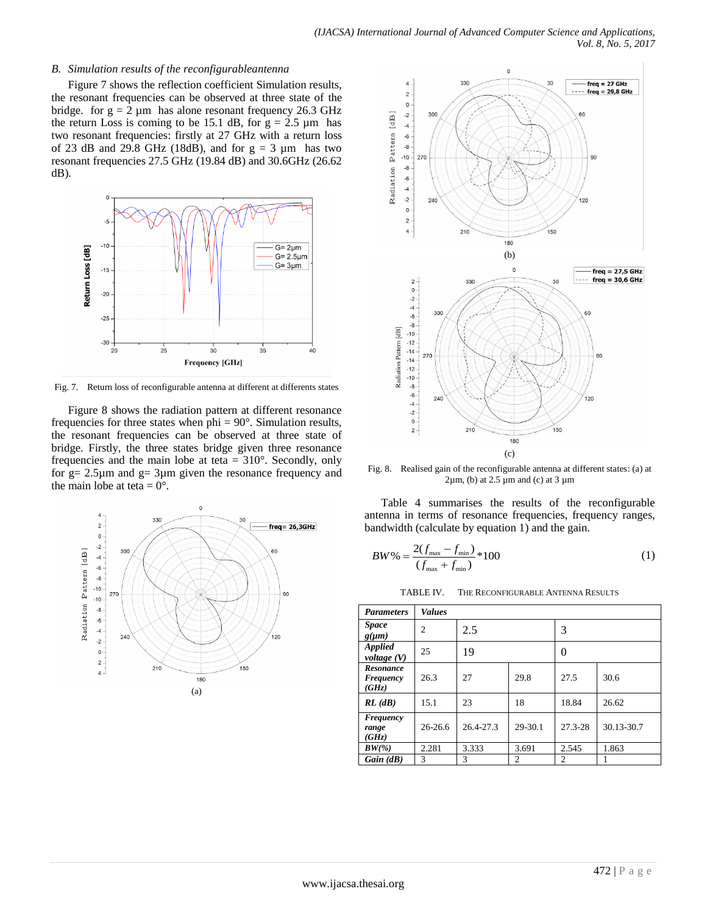#### *B. Simulation results of the reconfigurableantenna*

Figure 7 shows the reflection coefficient Simulation results, the resonant frequencies can be observed at three state of the bridge. for  $g = 2 \mu m$  has alone resonant frequency 26.3 GHz the return Loss is coming to be 15.1 dB, for  $g = 2.5 \mu m$  has two resonant frequencies: firstly at 27 GHz with a return loss of 23 dB and 29.8 GHz (18dB), and for  $g = 3 \mu m$  has two resonant frequencies 27.5 GHz (19.84 dB) and 30.6GHz (26.62 dB).



Fig. 7. Return loss of reconfigurable antenna at different at differents states

Figure 8 shows the radiation pattern at different resonance frequencies for three states when  $phi = 90^\circ$ . Simulation results, the resonant frequencies can be observed at three state of bridge. Firstly, the three states bridge given three resonance frequencies and the main lobe at teta  $= 310^{\circ}$ . Secondly, only for  $g = 2.5\mu m$  and  $g = 3\mu m$  given the resonance frequency and the main lobe at teta =  $0^{\circ}$ .





Fig. 8. Realised gain of the reconfigurable antenna at different states: (a) at  $2\mu$ m, (b) at 2.5  $\mu$ m and (c) at 3  $\mu$ m

Table 4 summarises the results of the reconfigurable antenna in terms of resonance frequencies, frequency ranges, bandwidth (calculate by equation 1) and the gain.

$$
BW\% = \frac{2(f_{\text{max}} - f_{\text{min}})}{(f_{\text{max}} + f_{\text{min}})} * 100
$$
 (1)

TABLE IV. THE RECONFIGURABLE ANTENNA RESULTS

| <b>Parameters</b>               | <b>Values</b>  |           |                |                |            |
|---------------------------------|----------------|-----------|----------------|----------------|------------|
| <i>Space</i><br>$g(\mu m)$      | $\overline{c}$ | 2.5       |                | 3              |            |
| <b>Applied</b><br>voltage $(V)$ | 25             | 19        |                | $\left($       |            |
| Resonance<br>Frequency<br>(GHz) | 26.3           | 27        | 29.8           | 27.5           | 30.6       |
| RL(dB)                          | 15.1           | 23        | 18             | 18.84          | 26.62      |
| Frequency<br>range<br>(GHz)     | $26-26.6$      | 26.4-27.3 | 29-30.1        | 27.3-28        | 30.13-30.7 |
| $BW(\% )$                       | 2.281          | 3.333     | 3.691          | 2.545          | 1.863      |
| Gain(dB)                        | 3              | 3         | $\overline{c}$ | $\overline{c}$ |            |